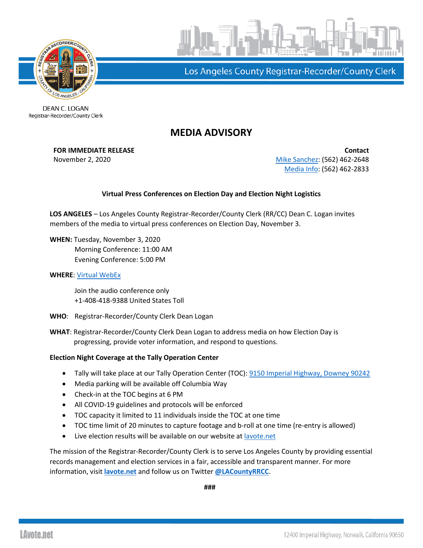



Los Angeles County Registrar-Recorder/County Clerk

DEAN C. LOGAN Registrar-Recorder/County Clerk

## **MEDIA ADVISORY**

**FOR IMMEDIATE RELEASE Contact** November 2, 2020 **[Mike Sanchez:](mailto:msanchez@rrcc.lacounty.gov)** (562) 462-2648 [Media Info:](mailto:mediainfo@rrcc.lacounty.gov) (562) 462-2833

## **Virtual Press Conferences on Election Day and Election Night Logistics**

**LOS ANGELES** – Los Angeles County Registrar-Recorder/County Clerk (RR/CC) Dean C. Logan invites members of the media to virtual press conferences on Election Day, November 3.

**WHEN:** Tuesday, November 3, 2020 Morning Conference: 11:00 AM Evening Conference: 5:00 PM

## **WHERE**: [Virtual WebEx](https://lacountyceo.webex.com/lacountyceo/onstage/g.php?d=1266078420&t=a&EA=msanchez%40rrcc.lacounty.gov&ET=SDJTSwAAAATwWaWEBlv0mB3_KvEInqPPybBgOYZsf-w1jlIw39gWAg2&ETR=SDJTSwAAAASp-MlOe4_RFs8zA8tE5NMSvWS1yI6l9e0jQgeLfFPFUw2&RT=MiM0&p)

Join the audio conference only +1-408-418-9388 United States Toll

**WHO**: Registrar-Recorder/County Clerk Dean Logan

**WHAT**: Registrar-Recorder/County Clerk Dean Logan to address media on how Election Day is progressing, provide voter information, and respond to questions.

## **Election Night Coverage at the Tally Operation Center**

- Tally will take place at our Tally Operation Center (TOC): [9150 Imperial Highway, Downey 90242](https://www.google.com/search?aqs=chrome..69i57.125781j0j4&ie=UTF-8&oq=9150+Imperial+Highway%2C+Downey%2C+90242&q=9150+Imperial+Highway%2C+Downey%2C+90242&rlz=1C1CHBF_enUS828US828&sourceid=chrome&utm_content=&utm_medium=email&utm_name=&utm_source=govdelivery&utm_term=)
- Media parking will be available off Columbia Way
- Check-in at the TOC begins at 6 PM
- All COVID-19 guidelines and protocols will be enforced
- TOC capacity it limited to 11 individuals inside the TOC at one time
- TOC time limit of 20 minutes to capture footage and b-roll at one time (re-entry is allowed)
- Live election results will be available on our website a[t lavote.net](https://www.lavote.net/home/voting-elections/current-elections/election-results/live-results)

The mission of the Registrar-Recorder/County Clerk is to serve Los Angeles County by providing essential records management and election services in a fair, accessible and transparent manner. For more information, visit **[lavote.net](http://www.lavote.net/home/voting-elections/election-resources/election-billing)** and follow us on Twitter **[@LACountyRRCC](https://twitter.com/LACountyRRCC)**.

**###**